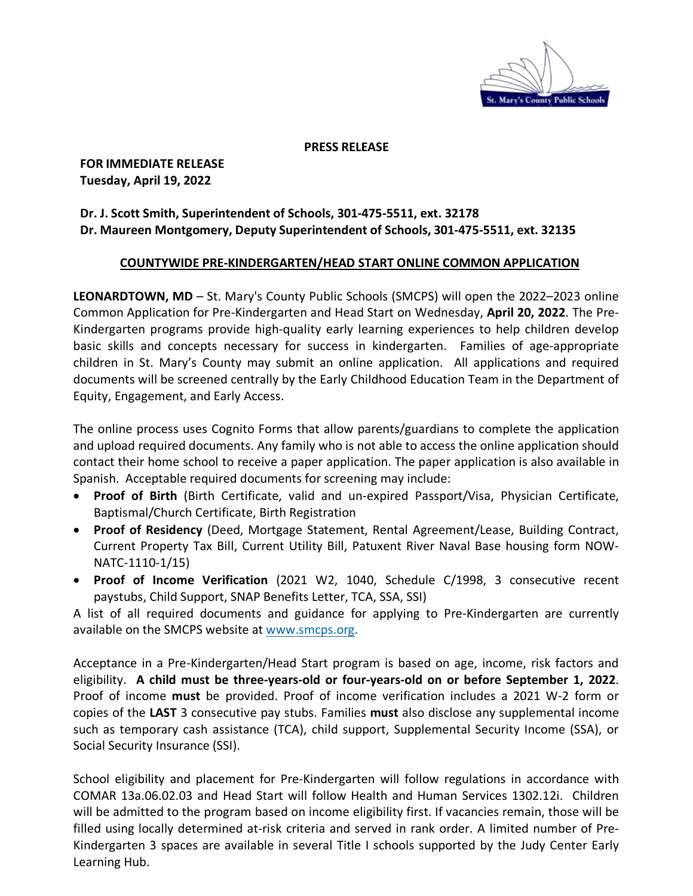

**PRESS RELEASE**

**FOR IMMEDIATE RELEASE Tuesday, April 19, 2022**

## **Dr. J. Scott Smith, Superintendent of Schools, 301-475-5511, ext. 32178 Dr. Maureen Montgomery, Deputy Superintendent of Schools, 301-475-5511, ext. 32135**

## **COUNTYWIDE PRE-KINDERGARTEN/HEAD START ONLINE COMMON APPLICATION**

**LEONARDTOWN, MD** – St. Mary's County Public Schools (SMCPS) will open the 2022–2023 online Common Application for Pre-Kindergarten and Head Start on Wednesday, **April 20, 2022**. The Pre-Kindergarten programs provide high-quality early learning experiences to help children develop basic skills and concepts necessary for success in kindergarten. Families of age-appropriate children in St. Mary's County may submit an online application. All applications and required documents will be screened centrally by the Early Childhood Education Team in the Department of Equity, Engagement, and Early Access.

The online process uses Cognito Forms that allow parents/guardians to complete the application and upload required documents. Any family who is not able to access the online application should contact their home school to receive a paper application. The paper application is also available in Spanish. Acceptable required documents for screening may include:

- **Proof of Birth** (Birth Certificate, valid and un-expired Passport/Visa, Physician Certificate, Baptismal/Church Certificate, Birth Registration
- **Proof of Residency** (Deed, Mortgage Statement, Rental Agreement/Lease, Building Contract, Current Property Tax Bill, Current Utility Bill, Patuxent River Naval Base housing form NOW-NATC-1110-1/15)
- **Proof of Income Verification** (2021 W2, 1040, Schedule C/1998, 3 consecutive recent paystubs, Child Support, SNAP Benefits Letter, TCA, SSA, SSI)

A list of all required documents and guidance for applying to Pre-Kindergarten are currently available on the SMCPS website at [www.smcps.org.](https://www.smcps.org/)

Acceptance in a Pre-Kindergarten/Head Start program is based on age, income, risk factors and eligibility. **A child must be three-years-old or four-years-old on or before September 1, 2022**. Proof of income **must** be provided. Proof of income verification includes a 2021 W-2 form or copies of the **LAST** 3 consecutive pay stubs. Families **must** also disclose any supplemental income such as temporary cash assistance (TCA), child support, Supplemental Security Income (SSA), or Social Security Insurance (SSI).

School eligibility and placement for Pre-Kindergarten will follow regulations in accordance with COMAR 13a.06.02.03 and Head Start will follow Health and Human Services 1302.12i. Children will be admitted to the program based on income eligibility first. If vacancies remain, those will be filled using locally determined at-risk criteria and served in rank order. A limited number of Pre-Kindergarten 3 spaces are available in several Title I schools supported by the Judy Center Early Learning Hub.